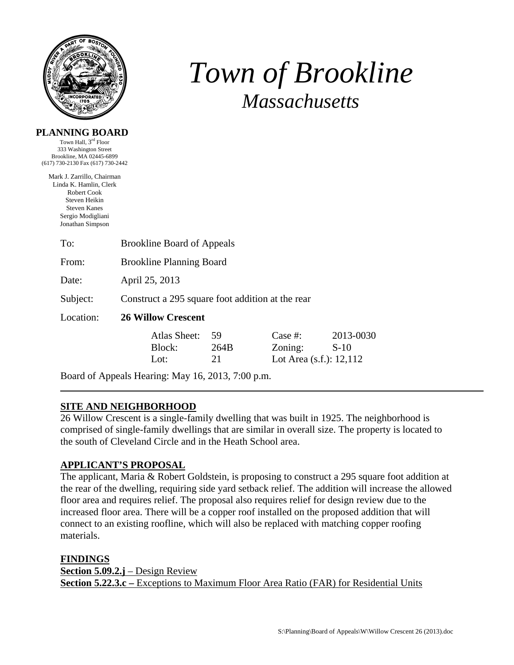

# *Town of Brookline Massachusetts*

| PLANNING BOARD |  |
|----------------|--|
|----------------|--|

Town Hall, 3rd Floor 333 Washington Street Brookline, MA 02445-6899 (617) 730-2130 Fax (617) 730-2442

Mark J. Zarrillo, Chairman Linda K. Hamlin, Clerk Robert Cook Steven Heikin Steven Kanes Sergio Modigliani Jonathan Simpson

| To:       | <b>Brookline Board of Appeals</b>                |                                |                  |                                                  |                     |
|-----------|--------------------------------------------------|--------------------------------|------------------|--------------------------------------------------|---------------------|
| From:     | <b>Brookline Planning Board</b>                  |                                |                  |                                                  |                     |
| Date:     | April 25, 2013                                   |                                |                  |                                                  |                     |
| Subject:  | Construct a 295 square foot addition at the rear |                                |                  |                                                  |                     |
| Location: | <b>26 Willow Crescent</b>                        |                                |                  |                                                  |                     |
|           |                                                  | Atlas Sheet:<br>Block:<br>Lot: | 59<br>264B<br>21 | Case #:<br>Zoning:<br>Lot Area $(s.f.)$ : 12,112 | 2013-0030<br>$S-10$ |

Board of Appeals Hearing: May 16, 2013, 7:00 p.m.

# **SITE AND NEIGHBORHOOD**

26 Willow Crescent is a single-family dwelling that was built in 1925. The neighborhood is comprised of single-family dwellings that are similar in overall size. The property is located to the south of Cleveland Circle and in the Heath School area.

# **APPLICANT'S PROPOSAL**

The applicant, Maria & Robert Goldstein, is proposing to construct a 295 square foot addition at the rear of the dwelling, requiring side yard setback relief. The addition will increase the allowed floor area and requires relief. The proposal also requires relief for design review due to the increased floor area. There will be a copper roof installed on the proposed addition that will connect to an existing roofline, which will also be replaced with matching copper roofing materials.

**FINDINGS**

**Section 5.09.2.j** – Design Review **Section 5.22.3.c** – Exceptions to Maximum Floor Area Ratio (FAR) for Residential Units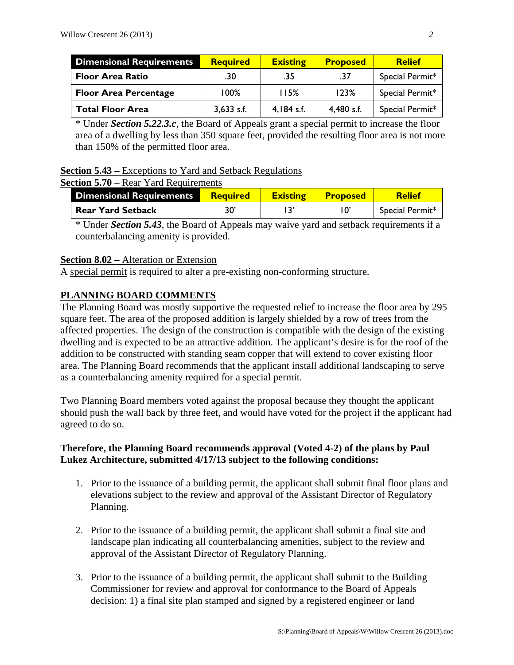| <b>Dimensional Requirements</b> | <b>Required</b> | <b>Existing</b> | <b>Proposed</b> | <b>Relief</b>   |
|---------------------------------|-----------------|-----------------|-----------------|-----------------|
| <b>Floor Area Ratio</b>         | .30             | .35             | .37             | Special Permit* |
| <b>Floor Area Percentage</b>    | 100%            | 115%            | 123%            | Special Permit* |
| <b>Total Floor Area</b>         | $3,633$ s.f.    | $4.184$ s.f.    | 4,480 s.f.      | Special Permit* |

\* Under *Section 5.22.3.c*, the Board of Appeals grant a special permit to increase the floor area of a dwelling by less than 350 square feet, provided the resulting floor area is not more than 150% of the permitted floor area.

### **Section 5.43 –** Exceptions to Yard and Setback Regulations

#### **Section 5.70** – Rear Yard Requirements

| <b>Dimensional Requirements</b> | <b>Required</b> | <b>Existing</b> | <b>Proposed</b> | <b>Relief</b>   |
|---------------------------------|-----------------|-----------------|-----------------|-----------------|
| <b>Rear Yard Setback</b>        | 30'             |                 |                 | Special Permit* |

\* Under *Section 5.43*, the Board of Appeals may waive yard and setback requirements if a counterbalancing amenity is provided.

#### **Section 8.02 –** Alteration or Extension

A special permit is required to alter a pre-existing non-conforming structure.

# **PLANNING BOARD COMMENTS**

The Planning Board was mostly supportive the requested relief to increase the floor area by 295 square feet. The area of the proposed addition is largely shielded by a row of trees from the affected properties. The design of the construction is compatible with the design of the existing dwelling and is expected to be an attractive addition. The applicant's desire is for the roof of the addition to be constructed with standing seam copper that will extend to cover existing floor area. The Planning Board recommends that the applicant install additional landscaping to serve as a counterbalancing amenity required for a special permit.

Two Planning Board members voted against the proposal because they thought the applicant should push the wall back by three feet, and would have voted for the project if the applicant had agreed to do so.

# **Therefore, the Planning Board recommends approval (Voted 4-2) of the plans by Paul Lukez Architecture, submitted 4/17/13 subject to the following conditions:**

- 1. Prior to the issuance of a building permit, the applicant shall submit final floor plans and elevations subject to the review and approval of the Assistant Director of Regulatory Planning.
- 2. Prior to the issuance of a building permit, the applicant shall submit a final site and landscape plan indicating all counterbalancing amenities, subject to the review and approval of the Assistant Director of Regulatory Planning.
- 3. Prior to the issuance of a building permit, the applicant shall submit to the Building Commissioner for review and approval for conformance to the Board of Appeals decision: 1) a final site plan stamped and signed by a registered engineer or land